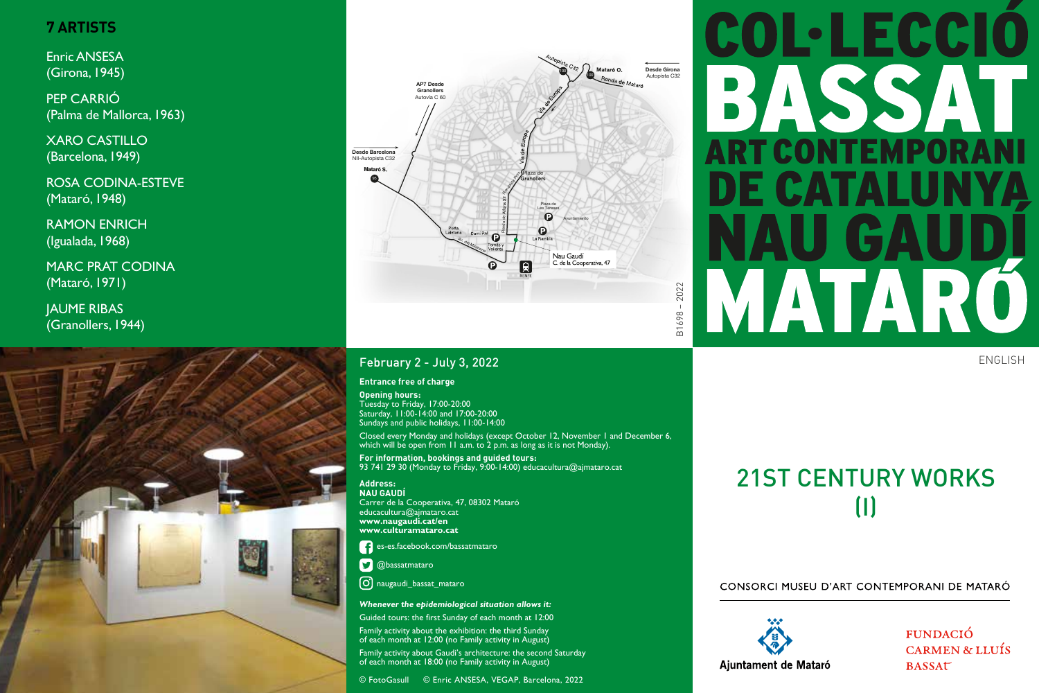## **7 ARTISTS**

Enric ANSESA (Girona, 1945)

PEP CARRIÓ (Palma de Mallorca, 1963)

XARO CASTILLO (Barcelona, 1949)

ROSA CODINA-ESTEVE (Mataró, 1948)

RAMON ENRICH (Igualada, 1968)

MARC PRAT CODINA (Mataró, 1971)

JAUME RIBAS (Granollers, 1944)





### February 2 - July 3, 2022

#### **Entrance free of charge**

**Opening hours:** Tuesday to Friday, 17:00-20:00 Saturday, 11:00-14:00 and 17:00-20:00 Sundays and public holidays, 11:00-14:00

Closed every Monday and holidays (except October 12, November 1 and December 6, which will be open from 11 a.m. to 2 p.m. as long as it is not Monday).

**For information, bookings and guided tours:** 93 741 29 30 (Monday to Friday, 9:00-14:00) educacultura@ajmataro.cat

**Address: NAU GAUDÍ** Carrer de la Cooperativa, 47, 08302 Mataró educacultura@ajmataro.cat **www.naugaudi.cat/en www.culturamataro.cat**

es-es.facebook.com/bassatmataro

**D** @bassatmataro

 $\left[\overline{\mathrm{O}}\right]$  naugaudi\_bassat\_mataro

#### *Whenever the epidemiological situation allows it:*

Guided tours: the first Sunday of each month at 12:00 Family activity about the exhibition: the third Sunday of each month at 12:00 (no Family activity in August)

Family activity about Gaudi's architecture: the second Saturday of each month at 18:00 (no Family activity in August)

© FotoGasull © Enric ANSESA, VEGAP, Barcelona, 2022

# 21ST CENTURY WORKS (I)

#### CONSORCI MUSEU D'ART CONTEMPORANI DE MATARÓ



FUNDACIÓ **CARMEN & LLUÍS BASSAT** 

# COL·LECCIO BASSAI CONTEMPOR **TAL** TAR **TAN**

ENGLISH